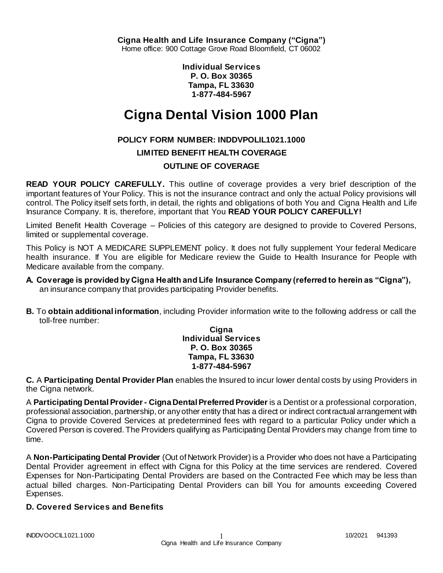**Individual Services P. O. Box 30365 Tampa, FL 33630 1-877-484-5967**

# **Cigna Dental Vision 1000 Plan**

# **POLICY FORM NUMBER: INDDVPOLIL1021.1000**

**LIMITED BENEFIT HEALTH COVERAGE**

# **OUTLINE OF COVERAGE**

**READ YOUR POLICY CAREFULLY.** This outline of coverage provides a very brief description of the important features of Your Policy. This is not the insurance contract and only the actual Policy provisions will control. The Policy itself sets forth, in detail, the rights and obligations of both You and Cigna Health and Life Insurance Company. It is, therefore, important that You **READ YOUR POLICY CAREFULLY!** 

Limited Benefit Health Coverage – Policies of this category are designed to provide to Covered Persons, limited or supplemental coverage.

This Policy is NOT A MEDICARE SUPPLEMENT policy. It does not fully supplement Your federal Medicare health insurance. If You are eligible for Medicare review the Guide to Health Insurance for People with Medicare available from the company.

- **A. Coverage is provided by Cigna Health and Life Insurance Company (referred to herein as "Cigna"),**  an insurance company that provides participating Provider benefits.
- **B.** To **obtain additional information**, including Provider information write to the following address or call the toll-free number:

**Cigna Individual Services P. O. Box 30365 Tampa, FL 33630 1-877-484-5967**

**C.** A **Participating Dental Provider Plan** enables the Insured to incur lower dental costs by using Providers in the Cigna network.

A **Participating Dental Provider - Cigna Dental Preferred Provider** is a Dentist or a professional corporation, professional association, partnership, or any other entity that has a direct or indirect contractual arrangement with Cigna to provide Covered Services at predetermined fees with regard to a particular Policy under which a Covered Person is covered. The Providers qualifying as Participating Dental Providers may change from time to time.

A **Non-Participating Dental Provider** (Out of Network Provider) is a Provider who does not have a Participating Dental Provider agreement in effect with Cigna for this Policy at the time services are rendered. Covered Expenses for Non-Participating Dental Providers are based on the Contracted Fee which may be less than actual billed charges. Non-Participating Dental Providers can bill You for amounts exceeding Covered Expenses.

# **D. Covered Services and Benefits**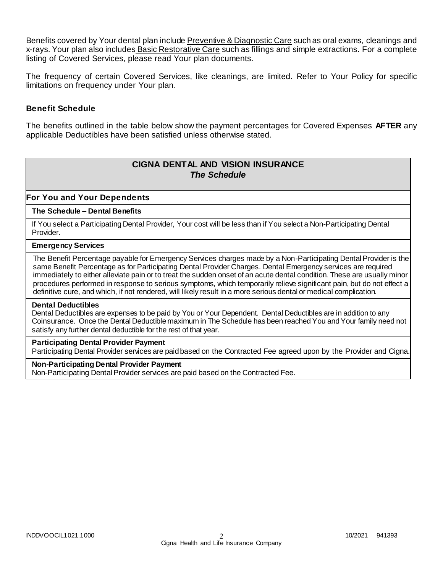Benefits covered by Your dental plan include Preventive & Diagnostic Care such as oral exams, cleanings and x-rays. Your plan also includes Basic Restorative Care such as fillings and simple extractions. For a complete listing of Covered Services, please read Your plan documents.

The frequency of certain Covered Services, like cleanings, are limited. Refer to Your Policy for specific limitations on frequency under Your plan.

### **Benefit Schedule**

The benefits outlined in the table below show the payment percentages for Covered Expenses **AFTER** any applicable Deductibles have been satisfied unless otherwise stated.

# **CIGNA DENTAL AND VISION INSURANCE** *The Schedule*

### **For You and Your Dependents**

### **The Schedule – Dental Benefits**

If You select a Participating Dental Provider, Your cost will be less than if You select a Non-Participating Dental Provider.

#### **Emergency Services**

The Benefit Percentage payable for Emergency Services charges made by a Non-Participating Dental Provider is the same Benefit Percentage as for Participating Dental Provider Charges. Dental Emergency services are required immediately to either alleviate pain or to treat the sudden onset of an acute dental condition. These are usually minor procedures performed in response to serious symptoms, which temporarily relieve significant pain, but do not effect a definitive cure, and which, if not rendered, will likely result in a more serious dental or medical complication.

#### **Dental Deductibles**

Dental Deductibles are expenses to be paid by You or Your Dependent. Dental Deductibles are in addition to any Coinsurance. Once the Dental Deductible maximum in The Schedule has been reached You and Your family need not satisfy any further dental deductible for the rest of that year.

#### **Participating Dental Provider Payment**

Participating Dental Provider services are paid based on the Contracted Fee agreed upon by the Provider and Cigna.

#### **Non-Participating Dental Provider Payment**

Non-Participating Dental Provider services are paid based on the Contracted Fee.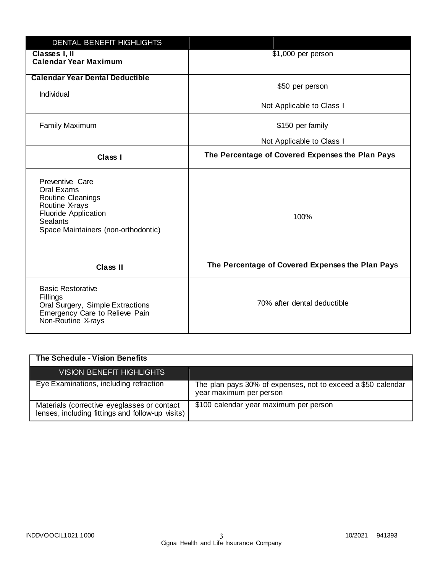| DENTAL BENEFIT HIGHLIGHTS                                                                                                                              |                                                  |
|--------------------------------------------------------------------------------------------------------------------------------------------------------|--------------------------------------------------|
| Classes I, II<br><b>Calendar Year Maximum</b>                                                                                                          | $$1,000$ per person                              |
| <b>Calendar Year Dental Deductible</b><br>Individual                                                                                                   | \$50 per person                                  |
|                                                                                                                                                        | Not Applicable to Class I                        |
| <b>Family Maximum</b>                                                                                                                                  | \$150 per family                                 |
|                                                                                                                                                        | Not Applicable to Class I                        |
| Class I                                                                                                                                                | The Percentage of Covered Expenses the Plan Pays |
| Preventive Care<br>Oral Exams<br>Routine Cleanings<br>Routine X-rays<br><b>Fluoride Application</b><br>Sealants<br>Space Maintainers (non-orthodontic) | 100%                                             |
| <b>Class II</b>                                                                                                                                        | The Percentage of Covered Expenses the Plan Pays |
| <b>Basic Restorative</b><br>Fillings<br>Oral Surgery, Simple Extractions<br>Emergency Care to Relieve Pain<br>Non-Routine X-rays                       | 70% after dental deductible                      |

| The Schedule - Vision Benefits                                                                  |                                                                                         |
|-------------------------------------------------------------------------------------------------|-----------------------------------------------------------------------------------------|
| <b>VISION BENEFIT HIGHLIGHTS</b>                                                                |                                                                                         |
| Eye Examinations, including refraction                                                          | The plan pays 30% of expenses, not to exceed a \$50 calendar<br>year maximum per person |
| Materials (corrective eyeglasses or contact<br>lenses, including fittings and follow-up visits) | \$100 calendar year maximum per person                                                  |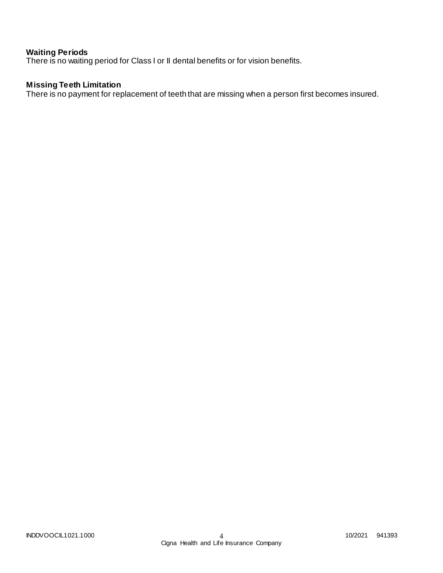# **Waiting Periods**

There is no waiting period for Class I or II dental benefits or for vision benefits.

# **Missing Teeth Limitation**

There is no payment for replacement of teeth that are missing when a person first becomes insured.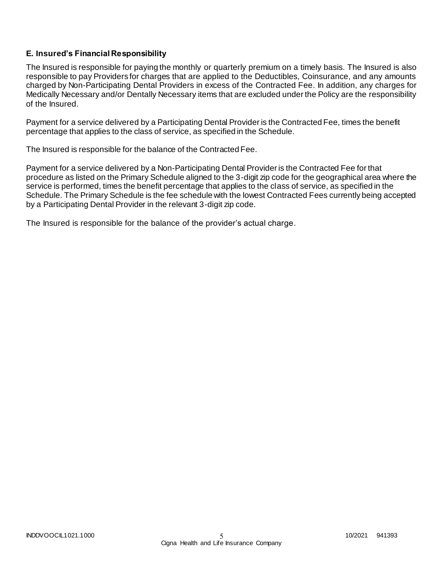# **E. Insured's Financial Responsibility**

The Insured is responsible for paying the monthly or quarterly premium on a timely basis. The Insured is also responsible to pay Providers for charges that are applied to the Deductibles, Coinsurance, and any amounts charged by Non-Participating Dental Providers in excess of the Contracted Fee. In addition, any charges for Medically Necessary and/or Dentally Necessary items that are excluded under the Policy are the responsibility of the Insured.

Payment for a service delivered by a Participating Dental Provider is the Contracted Fee, times the benefit percentage that applies to the class of service, as specified in the Schedule.

The Insured is responsible for the balance of the Contracted Fee.

Payment for a service delivered by a Non-Participating Dental Provider is the Contracted Fee for that procedure as listed on the Primary Schedule aligned to the 3-digit zip code for the geographical area where the service is performed, times the benefit percentage that applies to the class of service, as specified in the Schedule. The Primary Schedule is the fee schedule with the lowest Contracted Fees currently being accepted by a Participating Dental Provider in the relevant 3-digit zip code.

The Insured is responsible for the balance of the provider's actual charge.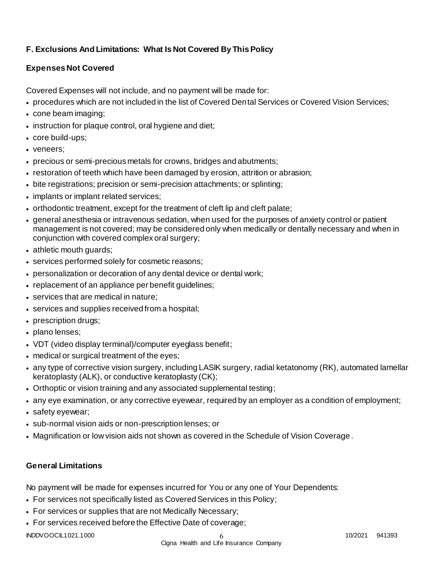# **F. Exclusions And Limitations: What Is Not Covered By This Policy**

# **Expenses Not Covered**

Covered Expenses will not include, and no payment will be made for:

- procedures which are not included in the list of Covered Dental Services or Covered Vision Services;
- cone beam imaging;
- instruction for plaque control, oral hygiene and diet;
- core build-ups;
- veneers;
- precious or semi-precious metals for crowns, bridges and abutments;
- restoration of teeth which have been damaged by erosion, attrition or abrasion;
- bite registrations; precision or semi-precision attachments; or splinting;
- implants or implant related services;
- orthodontic treatment, except for the treatment of cleft lip and cleft palate;
- general anesthesia or intravenous sedation, when used for the purposes of anxiety control or patient management is not covered; may be considered only when medically or dentally necessary and when in conjunction with covered complex oral surgery;
- athletic mouth guards;
- services performed solely for cosmetic reasons;
- personalization or decoration of any dental device or dental work;
- replacement of an appliance per benefit guidelines;
- services that are medical in nature;
- services and supplies received from a hospital;
- prescription drugs;
- plano lenses;
- VDT (video display terminal)/computer eyeglass benefit;
- medical or surgical treatment of the eyes;
- any type of corrective vision surgery, including LASIK surgery, radial ketatonomy (RK), automated lamellar keratoplasty (ALK), or conductive keratoplasty (CK);
- Orthoptic or vision training and any associated supplemental testing;
- any eye examination, or any corrective eyewear, required by an employer as a condition of employment;
- safety eyewear;
- sub-normal vision aids or non-prescription lenses; or
- Magnification or low vision aids not shown as covered in the Schedule of Vision Coverage.

# **General Limitations**

No payment will be made for expenses incurred for You or any one of Your Dependents:

- For services not specifically listed as Covered Services in this Policy;
- For services or supplies that are not Medically Necessary;
- For services received before the Effective Date of coverage;

INDDVOOCIL1021.1000 10/2021 941393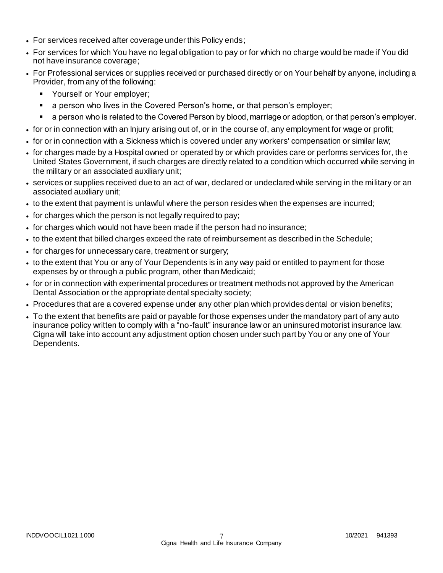- For services received after coverage under this Policy ends;
- For services for which You have no legal obligation to pay or for which no charge would be made if You did not have insurance coverage;
- For Professional services or supplies received or purchased directly or on Your behalf by anyone, including a Provider, from any of the following:
	- **Yourself or Your employer;**
	- a person who lives in the Covered Person's home, or that person's employer;
	- a person who is related to the Covered Person by blood, marriage or adoption, or that person's employer.
- for or in connection with an Injury arising out of, or in the course of, any employment for wage or profit;
- for or in connection with a Sickness which is covered under any workers' compensation or similar law;
- for charges made by a Hospital owned or operated by or which provides care or performs services for, th e United States Government, if such charges are directly related to a condition which occurred while serving in the military or an associated auxiliary unit;
- services or supplies received due to an act of war, declared or undeclared while serving in the mi litary or an associated auxiliary unit;
- to the extent that payment is unlawful where the person resides when the expenses are incurred;
- for charges which the person is not legally required to pay;
- for charges which would not have been made if the person had no insurance;
- to the extent that billed charges exceed the rate of reimbursement as described in the Schedule;
- for charges for unnecessary care, treatment or surgery;
- to the extent that You or any of Your Dependents is in any way paid or entitled to payment for those expenses by or through a public program, other than Medicaid;
- for or in connection with experimental procedures or treatment methods not approved by the American Dental Association or the appropriate dental specialty society;
- Procedures that are a covered expense under any other plan which provides dental or vision benefits;
- To the extent that benefits are paid or payable for those expenses under the mandatory part of any auto insurance policy written to comply with a "no-fault" insurance law or an uninsured motorist insurance law. Cigna will take into account any adjustment option chosen under such part by You or any one of Your Dependents.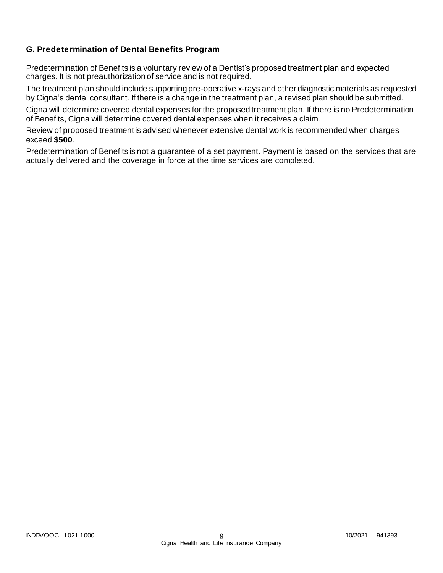# **G. Predetermination of Dental Benefits Program**

Predetermination of Benefits is a voluntary review of a Dentist's proposed treatment plan and expected charges. It is not preauthorization of service and is not required.

The treatment plan should include supporting pre-operative x-rays and other diagnostic materials as requested by Cigna's dental consultant. If there is a change in the treatment plan, a revised plan should be submitted.

Cigna will determine covered dental expenses for the proposed treatment plan. If there is no Predetermination of Benefits, Cigna will determine covered dental expenses when it receives a claim.

Review of proposed treatment is advised whenever extensive dental work is recommended when charges exceed **\$500**.

Predetermination of Benefits is not a guarantee of a set payment. Payment is based on the services that are actually delivered and the coverage in force at the time services are completed.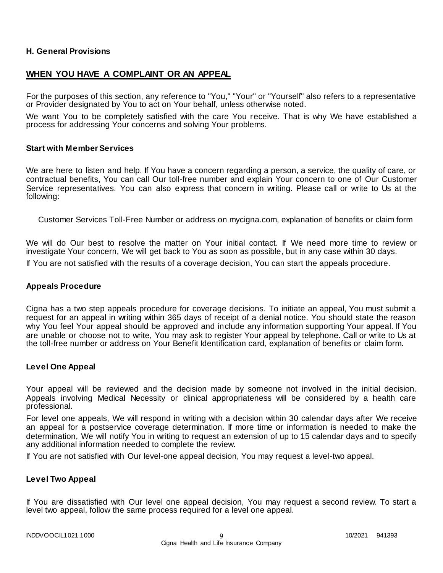### **H. General Provisions**

# **WHEN YOU HAVE A COMPLAINT OR AN APPEAL**

For the purposes of this section, any reference to "You," "Your" or "Yourself" also refers to a representative or Provider designated by You to act on Your behalf, unless otherwise noted.

We want You to be completely satisfied with the care You receive. That is why We have established a process for addressing Your concerns and solving Your problems.

#### **Start with Member Services**

We are here to listen and help. If You have a concern regarding a person, a service, the quality of care, or contractual benefits, You can call Our toll-free number and explain Your concern to one of Our Customer Service representatives. You can also express that concern in writing. Please call or write to Us at the following:

Customer Services Toll-Free Number or address on mycigna.com, explanation of benefits or claim form

We will do Our best to resolve the matter on Your initial contact. If We need more time to review or investigate Your concern, We will get back to You as soon as possible, but in any case within 30 days. If You are not satisfied with the results of a coverage decision, You can start the appeals procedure.

#### **Appeals Procedure**

Cigna has a two step appeals procedure for coverage decisions. To initiate an appeal, You must submit a request for an appeal in writing within 365 days of receipt of a denial notice. You should state the reason why You feel Your appeal should be approved and include any information supporting Your appeal. If You are unable or choose not to write, You may ask to register Your appeal by telephone. Call or write to Us at the toll-free number or address on Your Benefit Identification card, explanation of benefits or claim form.

### **Level One Appeal**

Your appeal will be reviewed and the decision made by someone not involved in the initial decision. Appeals involving Medical Necessity or clinical appropriateness will be considered by a health care professional.

For level one appeals, We will respond in writing with a decision within 30 calendar days after We receive an appeal for a postservice coverage determination. If more time or information is needed to make the determination, We will notify You in writing to request an extension of up to 15 calendar days and to specify any additional information needed to complete the review.

If You are not satisfied with Our level-one appeal decision, You may request a level-two appeal.

### **Level Two Appeal**

If You are dissatisfied with Our level one appeal decision, You may request a second review. To start a level two appeal, follow the same process required for a level one appeal.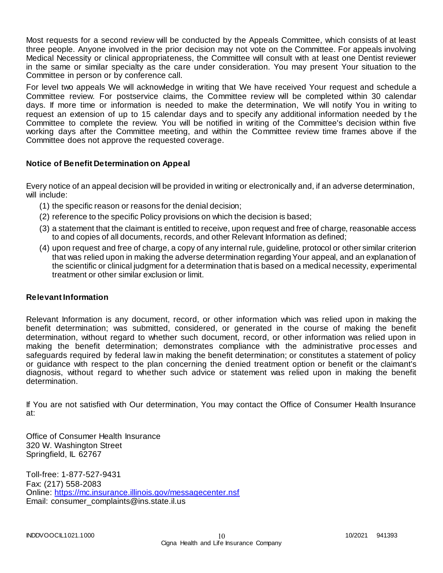Most requests for a second review will be conducted by the Appeals Committee, which consists of at least three people. Anyone involved in the prior decision may not vote on the Committee. For appeals involving Medical Necessity or clinical appropriateness, the Committee will consult with at least one Dentist reviewer in the same or similar specialty as the care under consideration. You may present Your situation to the Committee in person or by conference call.

For level two appeals We will acknowledge in writing that We have received Your request and schedule a Committee review. For postservice claims, the Committee review will be completed within 30 calendar days. If more time or information is needed to make the determination, We will notify You in writing to request an extension of up to 15 calendar days and to specify any additional information needed by t he Committee to complete the review. You will be notified in writing of the Committee's decision within five working days after the Committee meeting, and within the Committee review time frames above if the Committee does not approve the requested coverage.

## **Notice of Benefit Determination on Appeal**

Every notice of an appeal decision will be provided in writing or electronically and, if an adverse determination, will include:

- (1) the specific reason or reasons for the denial decision;
- (2) reference to the specific Policy provisions on which the decision is based;
- (3) a statement that the claimant is entitled to receive, upon request and free of charge, reasonable access to and copies of all documents, records, and other Relevant Information as defined;
- (4) upon request and free of charge, a copy of any internal rule, guideline, protocol or other similar criterion that was relied upon in making the adverse determination regarding Your appeal, and an explanation of the scientific or clinical judgment for a determination that is based on a medical necessity, experimental treatment or other similar exclusion or limit.

## **Relevant Information**

Relevant Information is any document, record, or other information which was relied upon in making the benefit determination; was submitted, considered, or generated in the course of making the benefit determination, without regard to whether such document, record, or other information was relied upon in making the benefit determination; demonstrates compliance with the administrative processes and safeguards required by federal law in making the benefit determination; or constitutes a statement of policy or guidance with respect to the plan concerning the denied treatment option or benefit or the claimant's diagnosis, without regard to whether such advice or statement was relied upon in making the benefit determination.

If You are not satisfied with Our determination, You may contact the Office of Consumer Health Insurance at:

Office of Consumer Health Insurance 320 W. Washington Street Springfield, IL 62767

Toll-free: 1-877-527-9431 Fax: (217) 558-2083 Online:<https://mc.insurance.illinois.gov/messagecenter.nsf> Email: consumer\_complaints@ins.state.il.us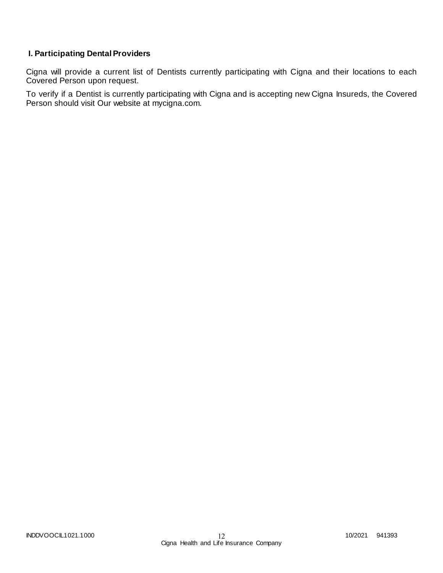# **I. Participating Dental Providers**

Cigna will provide a current list of Dentists currently participating with Cigna and their locations to each Covered Person upon request.

To verify if a Dentist is currently participating with Cigna and is accepting new Cigna Insureds, the Covered Person should visit Our website at mycigna.com.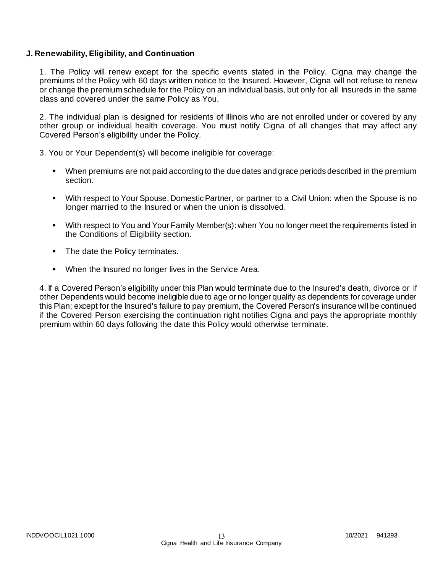### **J. Renewability, Eligibility, and Continuation**

1. The Policy will renew except for the specific events stated in the Policy. Cigna may change the premiums of the Policy with 60 days written notice to the Insured. However, Cigna will not refuse to renew or change the premium schedule for the Policy on an individual basis, but only for all Insureds in the same class and covered under the same Policy as You.

2. The individual plan is designed for residents of Illinois who are not enrolled under or covered by any other group or individual health coverage. You must notify Cigna of all changes that may affect any Covered Person's eligibility under the Policy.

3. You or Your Dependent(s) will become ineligible for coverage:

- When premiums are not paid according to the due dates and grace periods described in the premium section.
- With respect to Your Spouse, Domestic Partner, or partner to a Civil Union: when the Spouse is no longer married to the Insured or when the union is dissolved.
- With respect to You and Your Family Member(s): when You no longer meet the requirements listed in the Conditions of Eligibility section.
- The date the Policy terminates.
- When the Insured no longer lives in the Service Area.

4. If a Covered Person's eligibility under this Plan would terminate due to the Insured's death, divorce or if other Dependents would become ineligible due to age or no longer qualify as dependents for coverage under this Plan; except for the Insured's failure to pay premium, the Covered Person's insurance will be continued if the Covered Person exercising the continuation right notifies Cigna and pays the appropriate monthly premium within 60 days following the date this Policy would otherwise terminate.